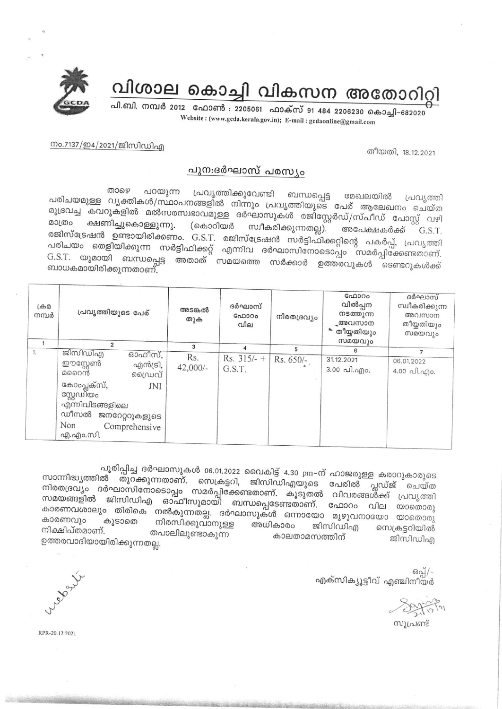

## വിശാല കൊച്ചി വികസന അതോറിറ്റി

പി.ബി. നമ്പർ 2012 ഫോൺ : 2205061 ഫാക്സ് 91 484 2206230 കൊച്ചി-682020 Website: (www.gcda.kerala.gov.in); E-mail: gcdaonline@gmail.com

തീയതി, 18,12,2021

## നം.7137/ഇ4/2021/ജിസിഡിഎ

## പുന:ദർഘാസ് പരസ്യം

றைஒ പറയുന്ന പ്രവൃത്തിക്കുവേണ്ടി ബന്ധപ്പെട്ട മേഖലയിൽ പരിചയമുള്ള വൃക്തികൾ/സ്ഥാപനങ്ങളിൽ നിന്നും പ്രവൃത്തിയുടെ പേര് ആലേഖനം ചെയ്ത പ്രവ്യത്തി മുദ്രവച്ച കവറുകളിൽ മൽസരസ്വഭാവമുള്ള ദർഘാസുകൾ രജിസ്റ്റേർഡ്/സ്പീഡ് പോസ്റ്റ് വഴി ക്ഷണിച്ചുകൊള്ളുന്നു. മാത്രം (കൊറിയർ സ്വീകരിക്കുന്നതല്ല). അപേക്ഷകർക്ക് രജിസ്ട്രേഷൻ ഉണ്ടായിരിക്കണം. G.S.T. രജിസ്ട്രേഷൻ സർട്ടിഫിക്കറ്റിന്റെ പകർപ്പ്, പ്രവൃത്തി G.S.T. പരിചയം തെളിയിക്കുന്ന സർട്ടിഫിക്കറ്റ് എന്നിവ ദർഘാസിനോടൊപ്പം സമർപ്പിക്കേണ്ടതാണ്. G.S.T. യുമായി ബന്ധപ്പെട്ട അതാത് സമയത്തെ സർക്കാർ ഉത്തരവുകൾ ടെണ്ടറുകൾക്ക് ബാധകമായിരിക്കുന്നതാണ്.

| (A, A)<br>നമ്പർ | പ്രവൃത്തിയുടെ പേര്                                                                                                                                                         |  | അടങ്കൽ<br>തുക     | ദർഘാസ്<br>ഫോറം<br>വില   | നിരതദ്രവ്യം | GAD300<br>വിൽപ്പന<br>നടത്തുന്ന<br>ൣഅവസാന<br>തീയ്യതിയും | ദർഘാസ്<br>സ്വീകരിക്കുന്ന<br>അവസാന<br>തീയ്യതിയും<br>സമയവും |
|-----------------|----------------------------------------------------------------------------------------------------------------------------------------------------------------------------|--|-------------------|-------------------------|-------------|--------------------------------------------------------|-----------------------------------------------------------|
|                 | $\overline{2}$                                                                                                                                                             |  | 3                 |                         | 5           | സമയവും                                                 |                                                           |
| 1.              | ജിസിഡിഎ<br>ഓഫീസ്,<br>ഈസ്റ്റേൺ<br>എൻട്രി,<br>മറൈൻ<br>ഡൈവ്<br>കോംപ്ലക്സ്,<br>JNI<br>സ്റ്റേഡിയം<br>എന്നിവിടങ്ങളിലെ<br>ഡീസൽ ജനറേറ്ററുകളുടെ<br>Non<br>Comprehensive<br>എ.എം.സി. |  | Rs.<br>$42,000/-$ | Rs. $315/-$ +<br>G.S.T. | Rs. $650/-$ | 31.12.2021<br>3.00 പി.എം.                              | 06.01.2022<br>4.00 வி.എo.                                 |

പൂരിപ്പിച്ച ദർഘാസുകൾ 06.01.2022 വൈകിട്ട് 4.30 pm-ന് ഹാജരുള്ള കരാറുകാരുടെ സാന്നിദ്ധ്യത്തിൽ തുറക്കുന്നതാണ്. സെക്രട്ടറി, ജിസിഡിഎയുടെ പേരിൽ പ്ലഡ്ജ് ചെയ്ത നിരതദ്രവ്യം ദർഘാസിനോടൊപ്പം സമർപ്പിക്കേണ്ടതാണ്. കൂടുതൽ വിവരങ്ങൾ്ക്ക് പ്രവൃത്തി സമയങ്ങളിൽ ജിസിഡിഎ ഓഫീസുമായി ബന്ധപ്പെടേണ്ടതാണ്. ഫോറം വില യാതൊരു കാരണവശാലും തിരികെ നൽകുന്നതല്ല. ദർഘാസുകൾ ഒന്നായോ മുഴുവനായോ യാതൊരു കാരണവും കൂടാതെ നിരസിക്കുവാനുള്ള അധികാരം ജിസിഡിഎ സെക്രട്ടറിയിൽ നിക്ഷിപ്തമാണ്. തപാലിലുണ്ടാകുന്ന കാലതാമസത്തിന് ജിസിഡിഎ ഉത്തരവാദിയായിരിക്കുന്നതല്ല.

> $69a$ എക്സിക്യൂട്ടീവ് എഞ്ചിനീയർ

സൂപ്രണ്ട്

RPR-20.12.2021